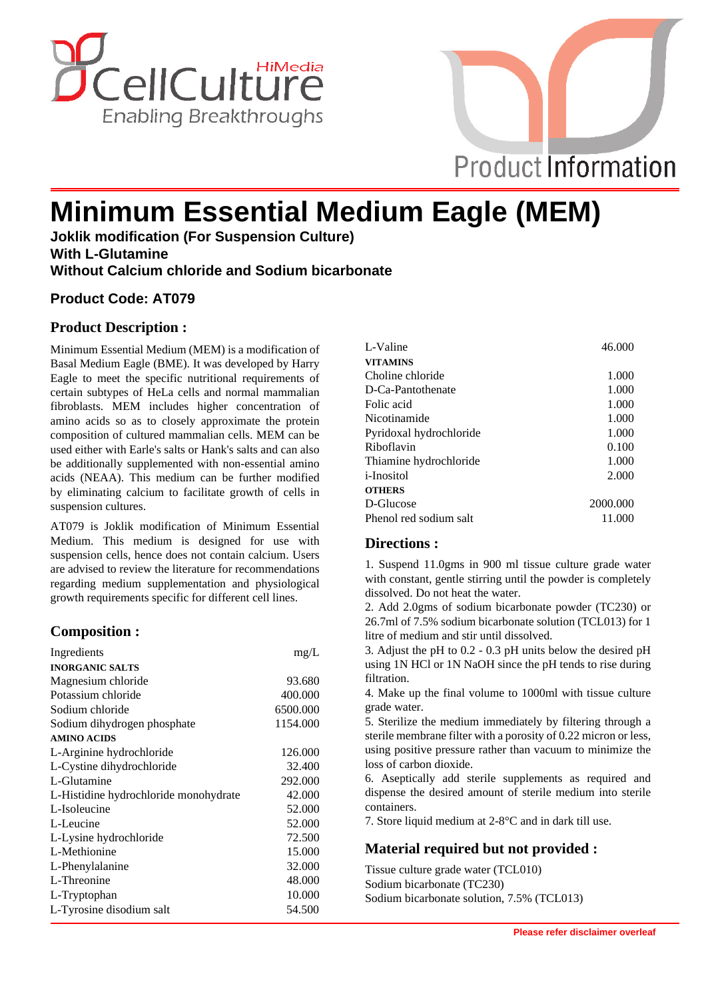



# **Minimum Essential Medium Eagle (MEM)**

**Joklik modification (For Suspension Culture) With L-Glutamine Without Calcium chloride and Sodium bicarbonate**

## **Product Code: AT079**

## **Product Description :**

Minimum Essential Medium (MEM) is a modification of Basal Medium Eagle (BME). It was developed by Harry Eagle to meet the specific nutritional requirements of certain subtypes of HeLa cells and normal mammalian fibroblasts. MEM includes higher concentration of amino acids so as to closely approximate the protein composition of cultured mammalian cells. MEM can be used either with Earle's salts or Hank's salts and can also be additionally supplemented with non-essential amino acids (NEAA). This medium can be further modified by eliminating calcium to facilitate growth of cells in suspension cultures.

AT079 is Joklik modification of Minimum Essential Medium. This medium is designed for use with suspension cells, hence does not contain calcium. Users are advised to review the literature for recommendations regarding medium supplementation and physiological growth requirements specific for different cell lines.

### **Composition :**

| Ingredients                           | mg/L     |
|---------------------------------------|----------|
| <b>INORGANIC SALTS</b>                |          |
| Magnesium chloride                    | 93.680   |
| Potassium chloride                    | 400.000  |
| Sodium chloride                       | 6500.000 |
| Sodium dihydrogen phosphate           | 1154.000 |
| <b>AMINO ACIDS</b>                    |          |
| L-Arginine hydrochloride              | 126.000  |
| L-Cystine dihydrochloride             | 32.400   |
| L-Glutamine                           | 292.000  |
| L-Histidine hydrochloride monohydrate | 42.000   |
| L-Isoleucine                          | 52.000   |
| L-Leucine                             | 52.000   |
| L-Lysine hydrochloride                | 72.500   |
| L-Methionine                          | 15.000   |
| L-Phenylalanine                       | 32.000   |
| L-Threonine                           | 48.000   |
| L-Tryptophan                          | 10.000   |
| L-Tyrosine disodium salt              | 54.500   |

| L-Valine                | 46.000   |
|-------------------------|----------|
| <b>VITAMINS</b>         |          |
| Choline chloride        | 1.000    |
| D-Ca-Pantothenate       | 1.000    |
| Folic acid              | 1.000    |
| Nicotinamide            | 1.000    |
| Pyridoxal hydrochloride | 1.000    |
| Riboflavin              | 0.100    |
| Thiamine hydrochloride  | 1.000    |
| <i>i</i> -Inositol      | 2.000    |
| <b>OTHERS</b>           |          |
| D-Glucose               | 2000.000 |
| Phenol red sodium salt  | 11.000   |

#### **Directions :**

1. Suspend 11.0gms in 900 ml tissue culture grade water with constant, gentle stirring until the powder is completely dissolved. Do not heat the water.

2. Add 2.0gms of sodium bicarbonate powder (TC230) or 26.7ml of 7.5% sodium bicarbonate solution (TCL013) for 1 litre of medium and stir until dissolved.

3. Adjust the pH to 0.2 - 0.3 pH units below the desired pH using 1N HCl or 1N NaOH since the pH tends to rise during filtration.

4. Make up the final volume to 1000ml with tissue culture grade water.

5. Sterilize the medium immediately by filtering through a sterile membrane filter with a porosity of 0.22 micron or less, using positive pressure rather than vacuum to minimize the loss of carbon dioxide.

6. Aseptically add sterile supplements as required and dispense the desired amount of sterile medium into sterile containers.

7. Store liquid medium at 2-8°C and in dark till use.

### **Material required but not provided :**

Tissue culture grade water (TCL010) Sodium bicarbonate (TC230) Sodium bicarbonate solution, 7.5% (TCL013)